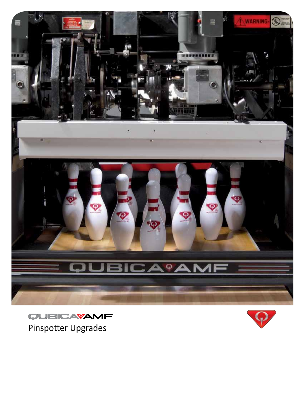

QUBICAVAMF Pinspotter Upgrades

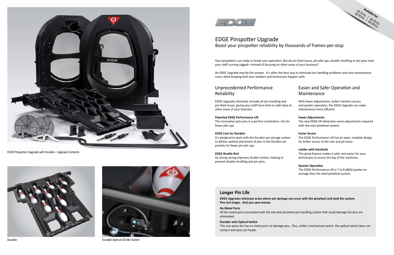## EDGE Pinspotter Upgrade Boost your pinspotter reliability by thousands of frames-per-stop

### Unprecedented Performance Reliability

EDGE Upgrades eliminate virtually all pin-handling and pin-feed issues, giving your staff more time to add value to other areas of your business.

#### **Patented EDGE Performance Lift**

This innovation puts pins in a perfect orientation—for far fewer pile-ups.

#### **EDGE Cam for Durabin**

It's designed to work with the Durabin pin storage system to deliver optimal placement of pins in the Durabin pin pockets for fewer pin pile-ups.

#### **EDGE Shuttle Rod**

Its strong spring improves shuttle motion, helping to prevent double-shuttling and pin jams.

### Easier and Safer Operation and Maintenance

- With fewer adjustments, better machine access and quieter operation, the EDGE Upgrade can make maintenance more efficient.
- **Fewer Adjustments**
- The new EDGE lift eliminates seven adjustments required with the steel pinwheel system.
- **Easier Access**
- The EDGE Performance Lift has an open, modular design for better access to the rear and pit areas.

### **Ladder with Handrails**

This great feature makes it safer and easier for your technicians to access the top of the machines.

### **Quieter Operation**

The EDGE Performance Lift is 7 to 8 dB(A) quieter on average than the steel pinwheel system.

Your pinspotters can make or break your operation. But do pin-feed issues, pin pile-ups, double-shuttling or pin jams have your staff running ragged—instead of focusing on other areas of your business?

An EDGE Upgrade may be the answer. It's often the best way to eliminate pin handling problems and save maintenance costs, while keeping both your bowlers and technicians happier with:



### **Longer Pin Life**

**EDGE Upgrades eliminate areas where pin damage can occur with the pinwheel and steel bin system. Pins last longer. And you save money.**

#### **No Metal Parts**

All the metal parts associated with the old steel pinwheel pin handling system that could damage the pins are eliminated.

#### **Durabin with Optical Switch**

This one-piece bin has no metal parts to damage pins. Plus, unlike a mechanical switch, the optical switch does not

contact and wear pin heads.



EDGE Pinspotter Upgrade with Durabin - Upgrade Contents





Durabin Durabin Optical LED Bin Switch

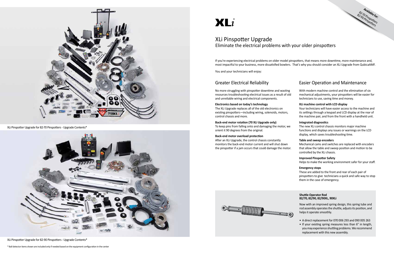## XLi Pinspotter Upgrade Eliminate the electrical problems with your older pinspotters

### Greater Electrical Reliability

No more struggling with pinspotter downtime and wasting resources troubleshooting electrical issues as a result of old and unreliable wiring and electrical components.

#### **Electronics based on today's technology**

The XLi Upgrade replaces all of the old electronics on existing pinspotters—including wiring, solenoids, motors, control chassis and more.

#### **Back-end motor rotation (70 XLi Upgrade only)**

To keep pins from falling onto and damaging the motor, we orient it 90 degrees from the original.

#### **Back-end motor overload protection**

After an XLi Upgrade, the control chassis constantly monitors the back-end motor current and will shut down the pinspotter if a jam occurs that could damage the motor.



### Easier Operation and Maintenance

With modern machine control and the elimination of six mechanical adjustments, your pinspotters will be easier for technicians to use, saving time and money.

#### **XLi machine control with LCD display**

**Available for:**  82-70 Pinspotters 82-90 Pinspotters

Your technicians will have easier access to the machine and its settings through a keypad and LCD display at the rear of the machine pair, and from the front with a handheld unit.

#### **Integrated diagnostics**

The new XLi control chassis monitors major machine functions and displays any issues or warnings on the LCD display, which saves troubleshooting time.

#### **Table and sweep encoders**

Mechanical cams and switches are replaced with encoders that allow the table and sweep position and motion to be controlled by the XLi chassis.

#### **Improved Pinspotter Safety**

Helps to make the working environment safer for your staff.

#### **Emergency stops**

These are added to the front and rear of each pair of pinspotters to give technicians a quick and safe way to stop them in the case of emergency.

If you're experiencing electrical problems on older model pinspotters, that means more downtime, more maintenance and, most impactful to your business, more dissatisfied bowlers. That's why you should consider an XLi Upgrade from QubicaAMF.

You and your technicians will enjoy:

#### **Shuttle Operator Rod 82/70, 82/90, 82/90XL, 90XLi**

Now with an improved spring design, this spring tube and rod assembly operates the shuttle, adjusts its position, and helps it operate smoothly.

- A direct replacement for 070 006 293 and 090 005 263
- If your existing spring measures less than 6" in length, you may experience shuttling problems. We recommend replacement with this new assembly.



XLi Pinspotter Upgrade for 82-70 Pinspotters - Upgrade Contents\*



XLi Pinspotter Upgrade for 82-90 Pinspotters - Upgrade Contents\*

# $XLi$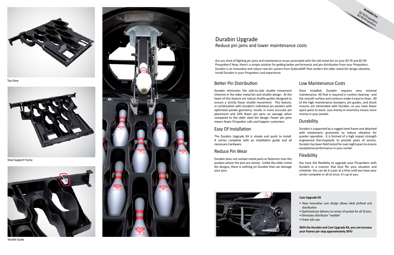### Better Pin Distribution

Durabin eliminates the side-to-side shuttle movement inherent in the older metal bin and shuttle design. At the heart of this feature are robust shuttle guides designed to ensure a strictly linear shuttle movement. This feature, in combination with Durabin's individual pin pockets with optimized pocket geometry, results in more accurate pin placement and 20% fewer pin jams on average when compared to the older steel bin design. Fewer pin jams means fewer Pinspotter calls and happier customers. Once installed, Durabin requires very minimal maintenance. All that is required is routine cleaning - and the smooth surface and contours make it easy to clean. All of the high maintenance bumpers, pin guides, and shock mounts are eliminated with Durabin, so you have fewer spare parts to stock. Less money in inventory means more money in your pocket. **Durability** 

### Easy Of Installation

### Reduce Pin Wear

### Low Maintenance Costs

**Available forms** 

The Durabin Upgrade Kit is simple and quick to install. It comes complete with an installation guide and all necessary hardware. Durabin is supported by a rugged steel frame and attached with elastomeric grommets to reduce vibration for quieter operation. It is formed of a high impact strength engineered thermoplastic to provide years of service. Durabin has been field tested for over eight years to ensure exceptional performance in your center.

Durabin does not contain metal parts or fasteners near the pockets where the pins are stored. Unlike the older metal bin designs, there is nothing on Durabin that can damage your pins. You have the flexibility to upgrade your Pinspotters with Durabin in a manner that best fits your situation and schedule. You can do it a pair at a time until you have your center complete or all at once; it's up to you.



### Flexibility





Top View



Steel Support Frame



Shuttle Guide



## Durabin Upgrade Reduce pin jams and lower maintenance costs

Are you tired of fighting pin jams and maintenance issues associated with the old metal bin on your 82-70 and 82-90 Pinspotters? Now, there's a simple solution for getting better performance and pin distribution from your Pinspotters. Durabin is an innovative and robust new bin system from QubicaAMF that renders the older metal bin design obsolete. Install Durabin in your Pinspotters and experience:

### **Cam Upgrade Kit**

- New innovative cam design allows ideal pinfeed and distribution
- Optimized pin delivery to center of pocket for all 10 pins
- Eliminates distributor "wobble"
- Fewer pile-ups

**With the Durabin and Cam Upgrade Kit, you can increase your frames per stop approximately 30%!**